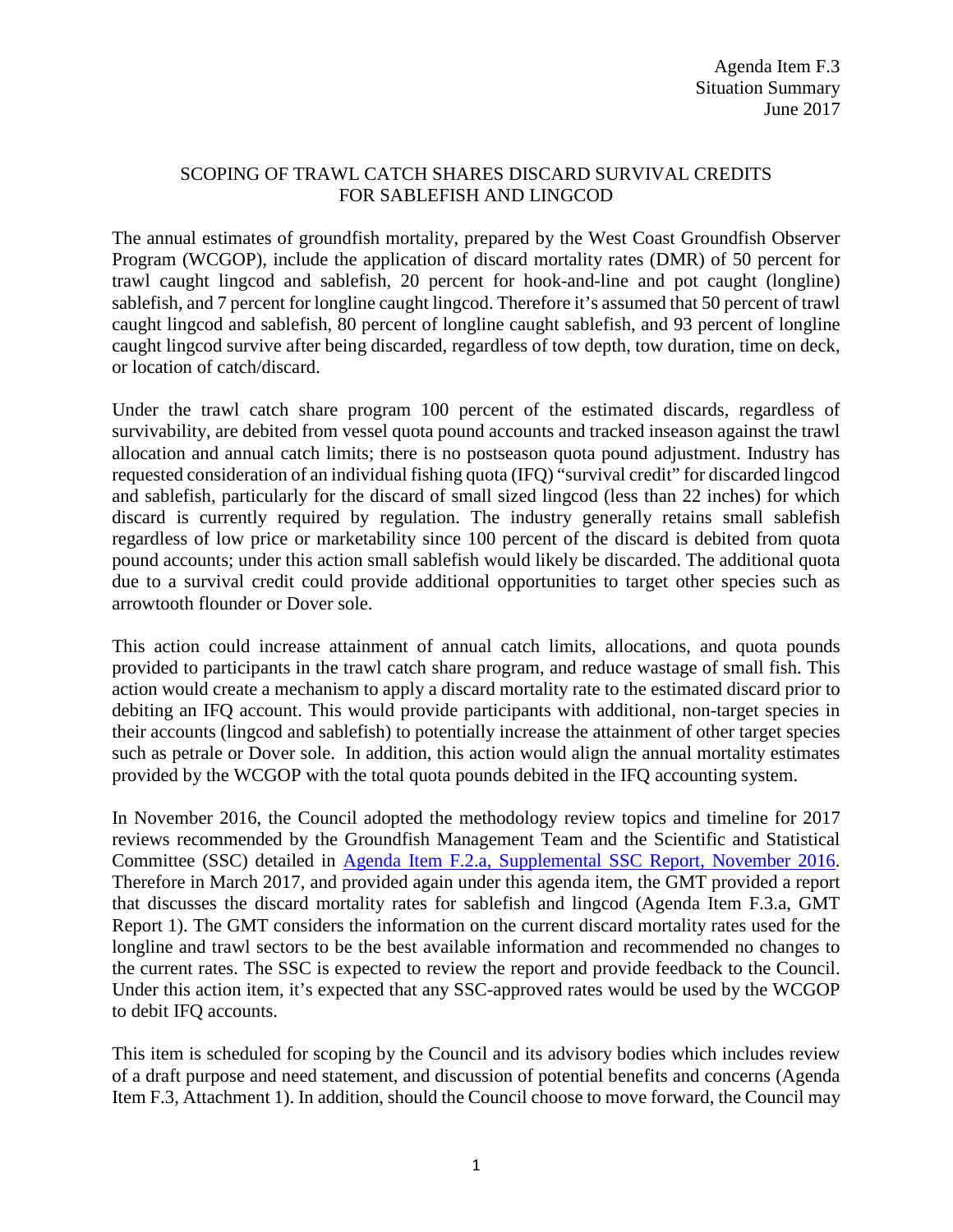## SCOPING OF TRAWL CATCH SHARES DISCARD SURVIVAL CREDITS FOR SABLEFISH AND LINGCOD

The annual estimates of groundfish mortality, prepared by the West Coast Groundfish Observer Program (WCGOP), include the application of discard mortality rates (DMR) of 50 percent for trawl caught lingcod and sablefish, 20 percent for hook-and-line and pot caught (longline) sablefish, and 7 percent for longline caught lingcod. Therefore it's assumed that 50 percent of trawl caught lingcod and sablefish, 80 percent of longline caught sablefish, and 93 percent of longline caught lingcod survive after being discarded, regardless of tow depth, tow duration, time on deck, or location of catch/discard.

Under the trawl catch share program 100 percent of the estimated discards, regardless of survivability, are debited from vessel quota pound accounts and tracked inseason against the trawl allocation and annual catch limits; there is no postseason quota pound adjustment. Industry has requested consideration of an individual fishing quota (IFQ) "survival credit" for discarded lingcod and sablefish, particularly for the discard of small sized lingcod (less than 22 inches) for which discard is currently required by regulation. The industry generally retains small sablefish regardless of low price or marketability since 100 percent of the discard is debited from quota pound accounts; under this action small sablefish would likely be discarded. The additional quota due to a survival credit could provide additional opportunities to target other species such as arrowtooth flounder or Dover sole.

This action could increase attainment of annual catch limits, allocations, and quota pounds provided to participants in the trawl catch share program, and reduce wastage of small fish. This action would create a mechanism to apply a discard mortality rate to the estimated discard prior to debiting an IFQ account. This would provide participants with additional, non-target species in their accounts (lingcod and sablefish) to potentially increase the attainment of other target species such as petrale or Dover sole. In addition, this action would align the annual mortality estimates provided by the WCGOP with the total quota pounds debited in the IFQ accounting system.

In November 2016, the Council adopted the methodology review topics and timeline for 2017 reviews recommended by the Groundfish Management Team and the Scientific and Statistical Committee (SSC) detailed in [Agenda Item F.2.a, Supplemental SSC Report,](http://www.pcouncil.org/wp-content/uploads/2016/11/F2a_Sup_SSC_Rpt_NOV2016BB.pdf) November 2016. Therefore in March 2017, and provided again under this agenda item, the GMT provided a report that discusses the discard mortality rates for sablefish and lingcod (Agenda Item F.3.a, GMT Report 1). The GMT considers the information on the current discard mortality rates used for the longline and trawl sectors to be the best available information and recommended no changes to the current rates. The SSC is expected to review the report and provide feedback to the Council. Under this action item, it's expected that any SSC-approved rates would be used by the WCGOP to debit IFQ accounts.

This item is scheduled for scoping by the Council and its advisory bodies which includes review of a draft purpose and need statement, and discussion of potential benefits and concerns (Agenda Item F.3, Attachment 1). In addition, should the Council choose to move forward, the Council may